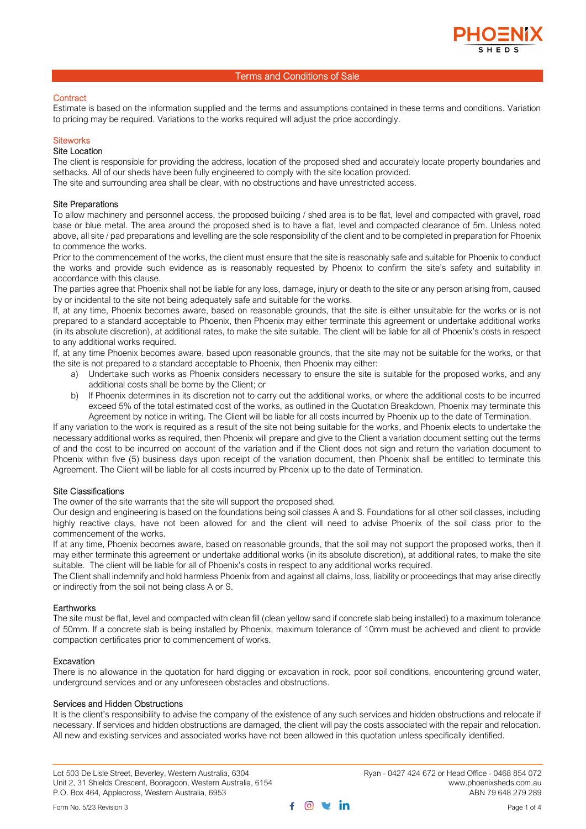# **Contract**

Estimate is based on the information supplied and the terms and assumptions contained in these terms and conditions. Variation to pricing may be required. Variations to the works required will adjust the price accordingly.

# **Siteworks**

# Site Location

The client is responsible for providing the address, location of the proposed shed and accurately locate property boundaries and setbacks. All of our sheds have been fully engineered to comply with the site location provided.

The site and surrounding area shall be clear, with no obstructions and have unrestricted access.

## Site Preparations

To allow machinery and personnel access, the proposed building / shed area is to be flat, level and compacted with gravel, road base or blue metal. The area around the proposed shed is to have a flat, level and compacted clearance of 5m. Unless noted above, all site / pad preparations and levelling are the sole responsibility of the client and to be completed in preparation for Phoenix to commence the works.

Prior to the commencement of the works, the client must ensure that the site is reasonably safe and suitable for Phoenix to conduct the works and provide such evidence as is reasonably requested by Phoenix to confirm the site's safety and suitability in accordance with this clause.

The parties agree that Phoenix shall not be liable for any loss, damage, injury or death to the site or any person arising from, caused by or incidental to the site not being adequately safe and suitable for the works.

If, at any time, Phoenix becomes aware, based on reasonable grounds, that the site is either unsuitable for the works or is not prepared to a standard acceptable to Phoenix, then Phoenix may either terminate this agreement or undertake additional works (in its absolute discretion), at additional rates, to make the site suitable. The client will be liable for all of Phoenix's costs in respect to any additional works required.

If, at any time Phoenix becomes aware, based upon reasonable grounds, that the site may not be suitable for the works, or that the site is not prepared to a standard acceptable to Phoenix, then Phoenix may either:

- a) Undertake such works as Phoenix considers necessary to ensure the site is suitable for the proposed works, and any additional costs shall be borne by the Client; or
- b) If Phoenix determines in its discretion not to carry out the additional works, or where the additional costs to be incurred exceed 5% of the total estimated cost of the works, as outlined in the Quotation Breakdown, Phoenix may terminate this Agreement by notice in writing. The Client will be liable for all costs incurred by Phoenix up to the date of Termination.

If any variation to the work is required as a result of the site not being suitable for the works, and Phoenix elects to undertake the necessary additional works as required, then Phoenix will prepare and give to the Client a variation document setting out the terms of and the cost to be incurred on account of the variation and if the Client does not sign and return the variation document to Phoenix within five (5) business days upon receipt of the variation document, then Phoenix shall be entitled to terminate this Agreement. The Client will be liable for all costs incurred by Phoenix up to the date of Termination.

## Site Classifications

The owner of the site warrants that the site will support the proposed shed.

Our design and engineering is based on the foundations being soil classes A and S. Foundations for all other soil classes, including highly reactive clays, have not been allowed for and the client will need to advise Phoenix of the soil class prior to the commencement of the works.

If at any time, Phoenix becomes aware, based on reasonable grounds, that the soil may not support the proposed works, then it may either terminate this agreement or undertake additional works (in its absolute discretion), at additional rates, to make the site suitable. The client will be liable for all of Phoenix's costs in respect to any additional works required.

The Client shall indemnify and hold harmless Phoenix from and against all claims, loss, liability or proceedings that may arise directly or indirectly from the soil not being class A or S.

## **Earthworks**

The site must be flat, level and compacted with clean fill (clean yellow sand if concrete slab being installed) to a maximum tolerance of 50mm. If a concrete slab is being installed by Phoenix, maximum tolerance of 10mm must be achieved and client to provide compaction certificates prior to commencement of works.

## Excavation

There is no allowance in the quotation for hard digging or excavation in rock, poor soil conditions, encountering ground water, underground services and or any unforeseen obstacles and obstructions.

## Services and Hidden Obstructions

It is the client's responsibility to advise the company of the existence of any such services and hidden obstructions and relocate if necessary. If services and hidden obstructions are damaged, the client will pay the costs associated with the repair and relocation. All new and existing services and associated works have not been allowed in this quotation unless specifically identified.

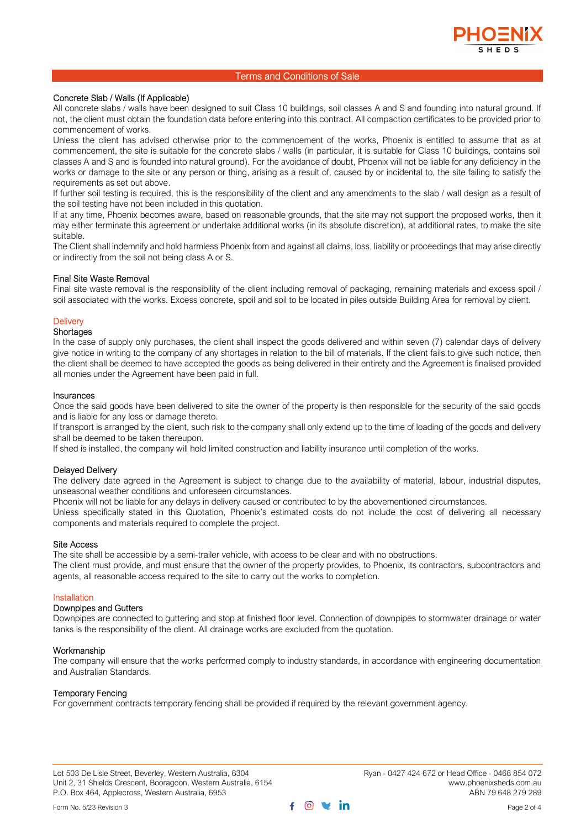

# Concrete Slab / Walls (If Applicable)

All concrete slabs / walls have been designed to suit Class 10 buildings, soil classes A and S and founding into natural ground. If not, the client must obtain the foundation data before entering into this contract. All compaction certificates to be provided prior to commencement of works.

Unless the client has advised otherwise prior to the commencement of the works, Phoenix is entitled to assume that as at commencement, the site is suitable for the concrete slabs / walls (in particular, it is suitable for Class 10 buildings, contains soil classes A and S and is founded into natural ground). For the avoidance of doubt, Phoenix will not be liable for any deficiency in the works or damage to the site or any person or thing, arising as a result of, caused by or incidental to, the site failing to satisfy the requirements as set out above.

If further soil testing is required, this is the responsibility of the client and any amendments to the slab / wall design as a result of the soil testing have not been included in this quotation.

If at any time, Phoenix becomes aware, based on reasonable grounds, that the site may not support the proposed works, then it may either terminate this agreement or undertake additional works (in its absolute discretion), at additional rates, to make the site suitable.

The Client shall indemnify and hold harmless Phoenix from and against all claims, loss, liability or proceedings that may arise directly or indirectly from the soil not being class A or S.

## Final Site Waste Removal

Final site waste removal is the responsibility of the client including removal of packaging, remaining materials and excess spoil / soil associated with the works. Excess concrete, spoil and soil to be located in piles outside Building Area for removal by client.

## **Delivery**

#### **Shortages**

In the case of supply only purchases, the client shall inspect the goods delivered and within seven (7) calendar days of delivery give notice in writing to the company of any shortages in relation to the bill of materials. If the client fails to give such notice, then the client shall be deemed to have accepted the goods as being delivered in their entirety and the Agreement is finalised provided all monies under the Agreement have been paid in full.

#### Insurances

Once the said goods have been delivered to site the owner of the property is then responsible for the security of the said goods and is liable for any loss or damage thereto.

If transport is arranged by the client, such risk to the company shall only extend up to the time of loading of the goods and delivery shall be deemed to be taken thereupon.

If shed is installed, the company will hold limited construction and liability insurance until completion of the works.

# Delayed Delivery

The delivery date agreed in the Agreement is subject to change due to the availability of material, labour, industrial disputes, unseasonal weather conditions and unforeseen circumstances.

Phoenix will not be liable for any delays in delivery caused or contributed to by the abovementioned circumstances.

Unless specifically stated in this Quotation, Phoenix's estimated costs do not include the cost of delivering all necessary components and materials required to complete the project.

#### Site Access

The site shall be accessible by a semi-trailer vehicle, with access to be clear and with no obstructions.

The client must provide, and must ensure that the owner of the property provides, to Phoenix, its contractors, subcontractors and agents, all reasonable access required to the site to carry out the works to completion.

## Installation

# Downpipes and Gutters

Downpipes are connected to guttering and stop at finished floor level. Connection of downpipes to stormwater drainage or water tanks is the responsibility of the client. All drainage works are excluded from the quotation.

## Workmanship

The company will ensure that the works performed comply to industry standards, in accordance with engineering documentation and Australian Standards.

# Temporary Fencing

For government contracts temporary fencing shall be provided if required by the relevant government agency.

Lot 503 De Lisle Street, Beverley, Western Australia, 6304 Ryan - 0427 424 672 or Head Office - 0468 854 072<br>Unit 2, 31 Shields Crescent, Booragoon, Western Australia, 6154 Www.phoenixsheds.com.au Unit 2, 31 Shields Crescent, Booragoon, Western Australia, 6154 P.O. Box 464, Applecross, Western Australia, 6953 ABN 79 648 279 289

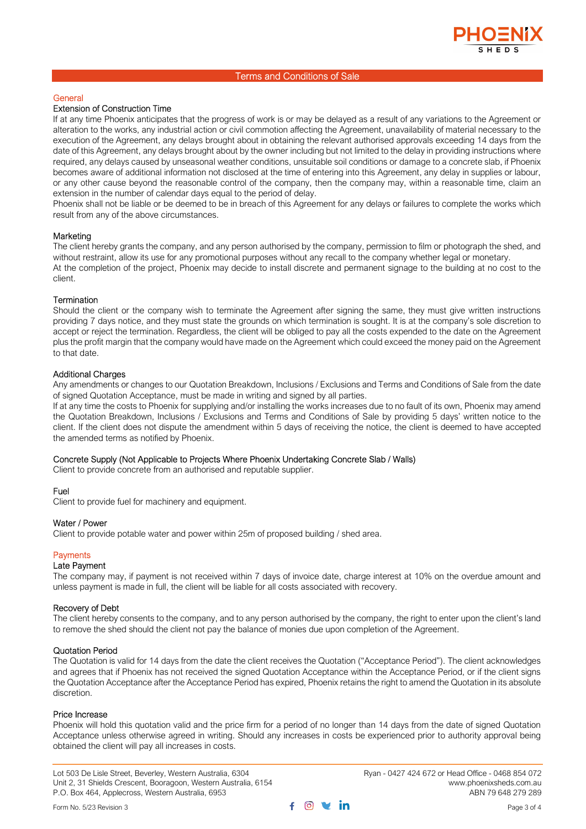

#### General

# Extension of Construction Time

If at any time Phoenix anticipates that the progress of work is or may be delayed as a result of any variations to the Agreement or alteration to the works, any industrial action or civil commotion affecting the Agreement, unavailability of material necessary to the execution of the Agreement, any delays brought about in obtaining the relevant authorised approvals exceeding 14 days from the date of this Agreement, any delays brought about by the owner including but not limited to the delay in providing instructions where required, any delays caused by unseasonal weather conditions, unsuitable soil conditions or damage to a concrete slab, if Phoenix becomes aware of additional information not disclosed at the time of entering into this Agreement, any delay in supplies or labour, or any other cause beyond the reasonable control of the company, then the company may, within a reasonable time, claim an extension in the number of calendar days equal to the period of delay.

Phoenix shall not be liable or be deemed to be in breach of this Agreement for any delays or failures to complete the works which result from any of the above circumstances.

#### **Marketing**

The client hereby grants the company, and any person authorised by the company, permission to film or photograph the shed, and without restraint, allow its use for any promotional purposes without any recall to the company whether legal or monetary. At the completion of the project, Phoenix may decide to install discrete and permanent signage to the building at no cost to the client.

#### **Termination**

Should the client or the company wish to terminate the Agreement after signing the same, they must give written instructions providing 7 days notice, and they must state the grounds on which termination is sought. It is at the company's sole discretion to accept or reject the termination. Regardless, the client will be obliged to pay all the costs expended to the date on the Agreement plus the profit margin that the company would have made on the Agreement which could exceed the money paid on the Agreement to that date.

# Additional Charges

Any amendments or changes to our Quotation Breakdown, Inclusions / Exclusions and Terms and Conditions of Sale from the date of signed Quotation Acceptance, must be made in writing and signed by all parties.

If at any time the costs to Phoenix for supplying and/or installing the works increases due to no fault of its own, Phoenix may amend the Quotation Breakdown, Inclusions / Exclusions and Terms and Conditions of Sale by providing 5 days' written notice to the client. If the client does not dispute the amendment within 5 days of receiving the notice, the client is deemed to have accepted the amended terms as notified by Phoenix.

#### Concrete Supply (Not Applicable to Projects Where Phoenix Undertaking Concrete Slab / Walls)

Client to provide concrete from an authorised and reputable supplier.

#### Fuel

Client to provide fuel for machinery and equipment.

#### Water / Power

Client to provide potable water and power within 25m of proposed building / shed area.

# **Payments**

## Late Payment

The company may, if payment is not received within 7 days of invoice date, charge interest at 10% on the overdue amount and unless payment is made in full, the client will be liable for all costs associated with recovery.

#### Recovery of Debt

The client hereby consents to the company, and to any person authorised by the company, the right to enter upon the client's land to remove the shed should the client not pay the balance of monies due upon completion of the Agreement.

#### Quotation Period

The Quotation is valid for 14 days from the date the client receives the Quotation ("Acceptance Period"). The client acknowledges and agrees that if Phoenix has not received the signed Quotation Acceptance within the Acceptance Period, or if the client signs the Quotation Acceptance after the Acceptance Period has expired, Phoenix retains the right to amend the Quotation in its absolute discretion.

#### Price Increase

Phoenix will hold this quotation valid and the price firm for a period of no longer than 14 days from the date of signed Quotation Acceptance unless otherwise agreed in writing. Should any increases in costs be experienced prior to authority approval being obtained the client will pay all increases in costs.

Lot 503 De Lisle Street, Beverley, Western Australia, 6304 Ryan - 0427 424 672 or Head Office - 0468 854 072 Unit 2, 31 Shields Crescent, Booragoon, Western Australia, 6154 P.O. Box 464, Applecross, Western Australia, 6953 ABN 79 648 279 289